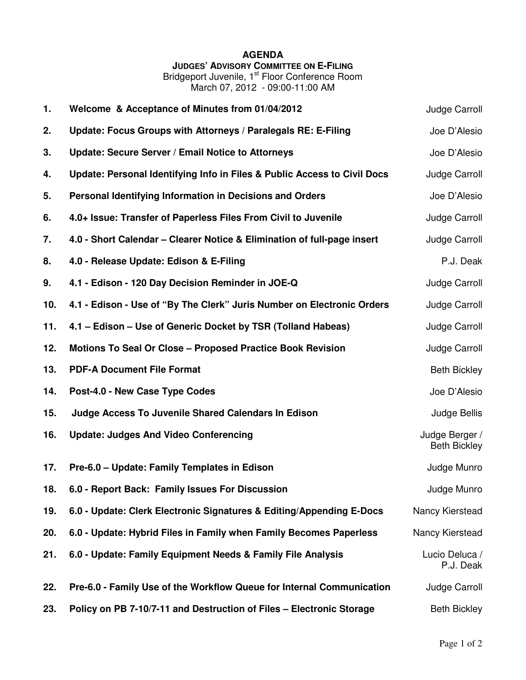## **AGENDA JUDGES' ADVISORY COMMITTEE ON E-FILING**

Bridgeport Juvenile, 1<sup>st</sup> Floor Conference Room March 07, 2012 - 09:00-11:00 AM

| 1.  | Welcome & Acceptance of Minutes from 01/04/2012                          | Judge Carroll                         |
|-----|--------------------------------------------------------------------------|---------------------------------------|
| 2.  | Update: Focus Groups with Attorneys / Paralegals RE: E-Filing            | Joe D'Alesio                          |
| 3.  | Update: Secure Server / Email Notice to Attorneys                        | Joe D'Alesio                          |
| 4.  | Update: Personal Identifying Info in Files & Public Access to Civil Docs | Judge Carroll                         |
| 5.  | Personal Identifying Information in Decisions and Orders                 | Joe D'Alesio                          |
| 6.  | 4.0+ Issue: Transfer of Paperless Files From Civil to Juvenile           | Judge Carroll                         |
| 7.  | 4.0 - Short Calendar – Clearer Notice & Elimination of full-page insert  | Judge Carroll                         |
| 8.  | 4.0 - Release Update: Edison & E-Filing                                  | P.J. Deak                             |
| 9.  | 4.1 - Edison - 120 Day Decision Reminder in JOE-Q                        | Judge Carroll                         |
| 10. | 4.1 - Edison - Use of "By The Clerk" Juris Number on Electronic Orders   | Judge Carroll                         |
| 11. | 4.1 – Edison – Use of Generic Docket by TSR (Tolland Habeas)             | Judge Carroll                         |
| 12. | Motions To Seal Or Close - Proposed Practice Book Revision               | Judge Carroll                         |
| 13. | <b>PDF-A Document File Format</b>                                        | <b>Beth Bickley</b>                   |
| 14. | Post-4.0 - New Case Type Codes                                           | Joe D'Alesio                          |
| 15. | Judge Access To Juvenile Shared Calendars In Edison                      | Judge Bellis                          |
| 16. | <b>Update: Judges And Video Conferencing</b>                             | Judge Berger /<br><b>Beth Bickley</b> |
| 17. | Pre-6.0 - Update: Family Templates in Edison                             | Judge Munro                           |
| 18. | 6.0 - Report Back: Family Issues For Discussion                          | Judge Munro                           |
| 19. | 6.0 - Update: Clerk Electronic Signatures & Editing/Appending E-Docs     | Nancy Kierstead                       |
| 20. | 6.0 - Update: Hybrid Files in Family when Family Becomes Paperless       | Nancy Kierstead                       |
| 21. | 6.0 - Update: Family Equipment Needs & Family File Analysis              | Lucio Deluca /<br>P.J. Deak           |
| 22. | Pre-6.0 - Family Use of the Workflow Queue for Internal Communication    | Judge Carroll                         |
| 23. | Policy on PB 7-10/7-11 and Destruction of Files - Electronic Storage     | <b>Beth Bickley</b>                   |